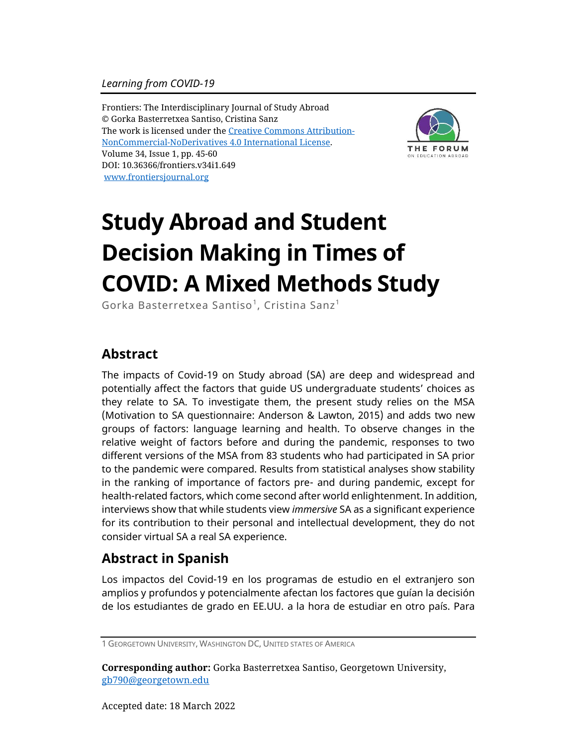Frontiers: The Interdisciplinary Journal of Study Abroad © Gorka Basterretxea Santiso, Cristina Sanz The work is licensed under the [Creative Commons Attribution-](https://creativecommons.org/licenses/by-nc-nd/4.0/)[NonCommercial-NoDerivatives](https://creativecommons.org/licenses/by-nc-nd/4.0/) 4.0 International License. Volume 34, Issue 1, pp. 45-60 DOI: 10.36366/frontiers.v34i1.649 [www.frontiersjournal.org](http://www.frontiersjournal.org/)



# **Study Abroad and Student Decision Making in Times of COVID: A Mixed Methods Study**

Gorka Basterretxea Santiso<sup>1</sup>, Cristina Sanz<sup>1</sup>

### **Abstract**

The impacts of Covid-19 on Study abroad (SA) are deep and widespread and potentially affect the factors that guide US undergraduate students' choices as they relate to SA. To investigate them, the present study relies on the MSA (Motivation to SA questionnaire: Anderson & Lawton, 2015) and adds two new groups of factors: language learning and health. To observe changes in the relative weight of factors before and during the pandemic, responses to two different versions of the MSA from 83 students who had participated in SA prior to the pandemic were compared. Results from statistical analyses show stability in the ranking of importance of factors pre- and during pandemic, except for health-related factors, which come second after world enlightenment. In addition, interviews show that while students view *immersive* SA as a significant experience for its contribution to their personal and intellectual development, they do not consider virtual SA a real SA experience.

### **Abstract in Spanish**

Los impactos del Covid-19 en los programas de estudio en el extranjero son amplios y profundos y potencialmente afectan los factores que guían la decisión de los estudiantes de grado en EE.UU. a la hora de estudiar en otro país. Para

**Corresponding author:** Gorka Basterretxea Santiso, Georgetown University, [gb790@georgetown.edu](mailto:gb790@georgetown.edu)

<sup>1</sup> GEORGETOWN UNIVERSITY, WASHINGTON DC, UNITED STATES OF AMERICA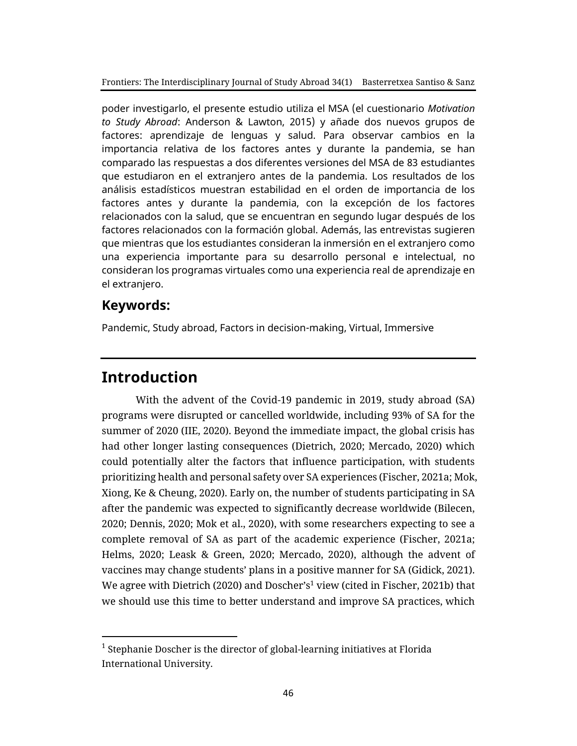poder investigarlo, el presente estudio utiliza el MSA (el cuestionario *Motivation to Study Abroad*: Anderson & Lawton, 2015) y añade dos nuevos grupos de factores: aprendizaje de lenguas y salud. Para observar cambios en la importancia relativa de los factores antes y durante la pandemia, se han comparado las respuestas a dos diferentes versiones del MSA de 83 estudiantes que estudiaron en el extranjero antes de la pandemia. Los resultados de los análisis estadísticos muestran estabilidad en el orden de importancia de los factores antes y durante la pandemia, con la excepción de los factores relacionados con la salud, que se encuentran en segundo lugar después de los factores relacionados con la formación global. Además, las entrevistas sugieren que mientras que los estudiantes consideran la inmersión en el extranjero como una experiencia importante para su desarrollo personal e intelectual, no consideran los programas virtuales como una experiencia real de aprendizaje en el extranjero.

### **Keywords:**

Pandemic, Study abroad, Factors in decision-making, Virtual, Immersive

### **Introduction**

With the advent of the Covid-19 pandemic in 2019, study abroad (SA) programs were disrupted or cancelled worldwide, including 93% of SA for the summer of 2020 (IIE, 2020). Beyond the immediate impact, the global crisis has had other longer lasting consequences (Dietrich, 2020; Mercado, 2020) which could potentially alter the factors that influence participation, with students prioritizing health and personal safety over SA experiences (Fischer, 2021a; Mok, Xiong, Ke & Cheung, 2020). Early on, the number of students participating in SA after the pandemic was expected to significantly decrease worldwide (Bilecen, 2020; Dennis, 2020; Mok et al., 2020), with some researchers expecting to see a complete removal of SA as part of the academic experience (Fischer, 2021a; Helms, 2020; Leask & Green, 2020; Mercado, 2020), although the advent of vaccines may change students' plans in a positive manner for SA (Gidick, 2021). We agree with Dietrich (2020) and Doscher's<sup>1</sup> view (cited in Fischer, 2021b) that we should use this time to better understand and improve SA practices, which

 $^1$  Stephanie Doscher is the director of global-learning initiatives at Florida International University.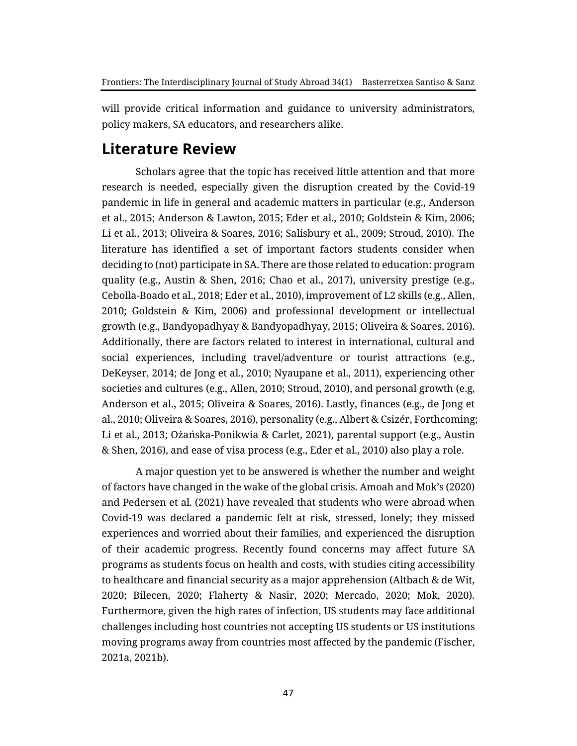will provide critical information and guidance to university administrators, policy makers, SA educators, and researchers alike.

### **Literature Review**

Scholars agree that the topic has received little attention and that more research is needed, especially given the disruption created by the Covid-19 pandemic in life in general and academic matters in particular (e.g., Anderson et al., 2015; Anderson & Lawton, 2015; Eder et al., 2010; Goldstein & Kim, 2006; Li et al., 2013; Oliveira & Soares, 2016; Salisbury et al., 2009; Stroud, 2010). The literature has identified a set of important factors students consider when deciding to (not) participate in SA. There are those related to education: program quality (e.g., Austin & Shen, 2016; Chao et al., 2017), university prestige (e.g., Cebolla-Boado et al., 2018; Eder et al., 2010), improvement of L2 skills (e.g., Allen, 2010; Goldstein & Kim, 2006) and professional development or intellectual growth (e.g., Bandyopadhyay & Bandyopadhyay, 2015; Oliveira & Soares, 2016). Additionally, there are factors related to interest in international, cultural and social experiences, including travel/adventure or tourist attractions (e.g., DeKeyser, 2014; de Jong et al., 2010; Nyaupane et al., 2011), experiencing other societies and cultures (e.g., Allen, 2010; Stroud, 2010), and personal growth (e.g, Anderson et al., 2015; Oliveira & Soares, 2016). Lastly, finances (e.g., de Jong et al., 2010; Oliveira & Soares, 2016), personality (e.g., Albert & Csizér, Forthcoming; Li et al., 2013; Ożańska-Ponikwia & Carlet, 2021), parental support (e.g., Austin & Shen, 2016), and ease of visa process (e.g., Eder et al., 2010) also play a role.

A major question yet to be answered is whether the number and weight of factors have changed in the wake of the global crisis. Amoah and Mok's (2020) and Pedersen et al. (2021) have revealed that students who were abroad when Covid-19 was declared a pandemic felt at risk, stressed, lonely; they missed experiences and worried about their families, and experienced the disruption of their academic progress. Recently found concerns may affect future SA programs as students focus on health and costs, with studies citing accessibility to healthcare and financial security as a major apprehension (Altbach & de Wit, 2020; Bilecen, 2020; Flaherty & Nasir, 2020; Mercado, 2020; Mok, 2020). Furthermore, given the high rates of infection, US students may face additional challenges including host countries not accepting US students or US institutions moving programs away from countries most affected by the pandemic (Fischer, 2021a, 2021b).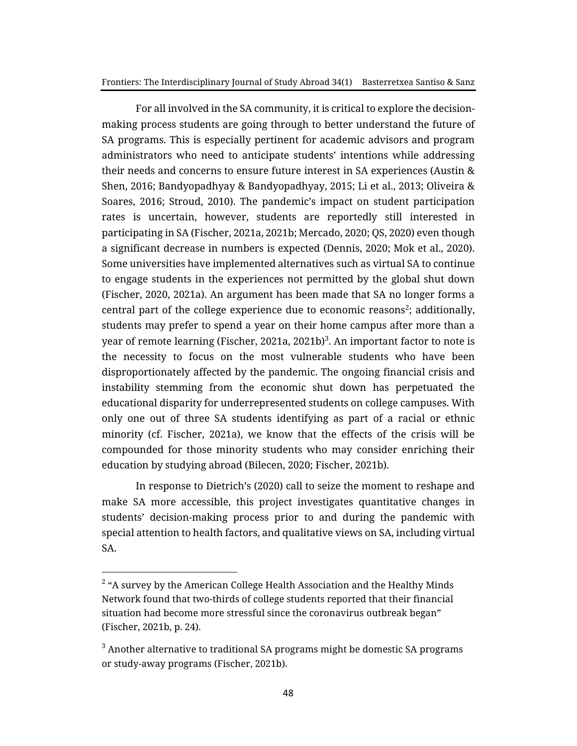For all involved in the SA community, it is critical to explore the decisionmaking process students are going through to better understand the future of SA programs. This is especially pertinent for academic advisors and program administrators who need to anticipate students' intentions while addressing their needs and concerns to ensure future interest in SA experiences (Austin & Shen, 2016; Bandyopadhyay & Bandyopadhyay, 2015; Li et al., 2013; Oliveira & Soares, 2016; Stroud, 2010). The pandemic's impact on student participation rates is uncertain, however, students are reportedly still interested in participating in SA (Fischer, 2021a, 2021b; Mercado, 2020; QS, 2020) even though a significant decrease in numbers is expected (Dennis, 2020; Mok et al., 2020). Some universities have implemented alternatives such as virtual SA to continue to engage students in the experiences not permitted by the global shut down (Fischer, 2020, 2021a). An argument has been made that SA no longer forms a central part of the college experience due to economic reasons $2$ ; additionally, students may prefer to spend a year on their home campus after more than a year of remote learning (Fischer, 2021a, 2021b) $^3$ . An important factor to note is the necessity to focus on the most vulnerable students who have been disproportionately affected by the pandemic. The ongoing financial crisis and instability stemming from the economic shut down has perpetuated the educational disparity for underrepresented students on college campuses. With only one out of three SA students identifying as part of a racial or ethnic minority (cf. Fischer, 2021a), we know that the effects of the crisis will be compounded for those minority students who may consider enriching their education by studying abroad (Bilecen, 2020; Fischer, 2021b).

In response to Dietrich's (2020) call to seize the moment to reshape and make SA more accessible, this project investigates quantitative changes in students' decision-making process prior to and during the pandemic with special attention to health factors, and qualitative views on SA, including virtual SA.

 $^2$  "A survey by the American College Health Association and the Healthy Minds Network found that two-thirds of college students reported that their financial situation had become more stressful since the coronavirus outbreak began" (Fischer, 2021b, p. 24).

<sup>3</sup> Another alternative to traditional SA programs might be domestic SA programs or study-away programs (Fischer, 2021b).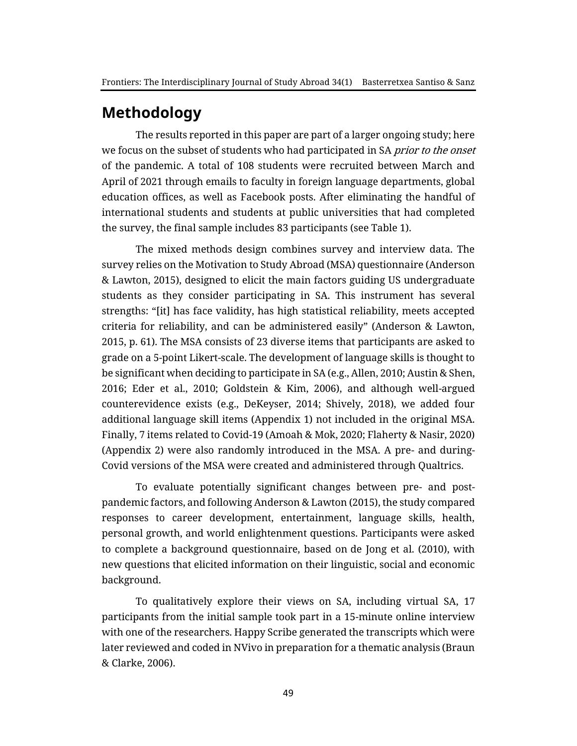### **Methodology**

The results reported in this paper are part of a larger ongoing study; here we focus on the subset of students who had participated in SA prior to the onset of the pandemic. A total of 108 students were recruited between March and April of 2021 through emails to faculty in foreign language departments, global education offices, as well as Facebook posts. After eliminating the handful of international students and students at public universities that had completed the survey, the final sample includes 83 participants (see Table 1).

The mixed methods design combines survey and interview data. The survey relies on the Motivation to Study Abroad (MSA) questionnaire (Anderson & Lawton, 2015), designed to elicit the main factors guiding US undergraduate students as they consider participating in SA. This instrument has several strengths: "[it] has face validity, has high statistical reliability, meets accepted criteria for reliability, and can be administered easily" (Anderson & Lawton, 2015, p. 61). The MSA consists of 23 diverse items that participants are asked to grade on a 5-point Likert-scale. The development of language skills is thought to be significant when deciding to participate in SA (e.g., Allen, 2010; Austin & Shen, 2016; Eder et al., 2010; Goldstein & Kim, 2006), and although well-argued counterevidence exists (e.g., DeKeyser, 2014; Shively, 2018), we added four additional language skill items (Appendix 1) not included in the original MSA. Finally, 7 items related to Covid-19 (Amoah & Mok, 2020; Flaherty & Nasir, 2020) (Appendix 2) were also randomly introduced in the MSA. A pre- and during-Covid versions of the MSA were created and administered through Qualtrics.

To evaluate potentially significant changes between pre- and postpandemic factors, and following Anderson & Lawton (2015), the study compared responses to career development, entertainment, language skills, health, personal growth, and world enlightenment questions. Participants were asked to complete a background questionnaire, based on de Jong et al. (2010), with new questions that elicited information on their linguistic, social and economic background.

To qualitatively explore their views on SA, including virtual SA, 17 participants from the initial sample took part in a 15-minute online interview with one of the researchers. Happy Scribe generated the transcripts which were later reviewed and coded in NVivo in preparation for a thematic analysis (Braun & Clarke, 2006).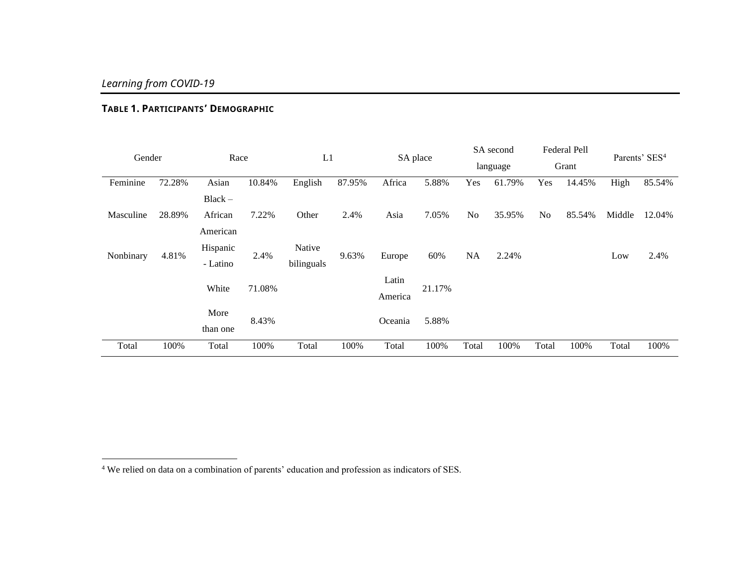#### **TABLE 1. PARTICIPANTS' DEMOGRAPHIC**

| Gender    |        | Race      |        | L1         |        | SA place |        | SA second<br>language |        | Federal Pell<br>Grant |        | Parents' SES <sup>4</sup> |        |
|-----------|--------|-----------|--------|------------|--------|----------|--------|-----------------------|--------|-----------------------|--------|---------------------------|--------|
| Feminine  | 72.28% | Asian     | 10.84% | English    | 87.95% | Africa   | 5.88%  | Yes                   | 61.79% | Yes                   | 14.45% | High                      | 85.54% |
|           |        | $Black -$ |        |            |        |          |        |                       |        |                       |        |                           |        |
| Masculine | 28.89% | African   | 7.22%  | Other      | 2.4%   | Asia     | 7.05%  | N <sub>o</sub>        | 35.95% | N <sub>o</sub>        | 85.54% | Middle                    | 12.04% |
|           |        | American  |        |            |        |          |        |                       |        |                       |        |                           |        |
| Nonbinary | 4.81%  | Hispanic  | 2.4%   | Native     | 9.63%  | Europe   | 60%    | NA                    | 2.24%  |                       |        | Low                       | 2.4%   |
|           |        | - Latino  |        | bilinguals |        |          |        |                       |        |                       |        |                           |        |
|           |        | White     | 71.08% |            |        | Latin    | 21.17% |                       |        |                       |        |                           |        |
|           |        |           |        |            |        | America  |        |                       |        |                       |        |                           |        |
|           |        | More      | 8.43%  |            |        | Oceania  | 5.88%  |                       |        |                       |        |                           |        |
|           |        | than one  |        |            |        |          |        |                       |        |                       |        |                           |        |
| Total     | 100%   | Total     | 100%   | Total      | 100%   | Total    | 100%   | Total                 | 100%   | Total                 | 100%   | Total                     | 100%   |

<sup>4</sup> We relied on data on a combination of parents' education and profession as indicators of SES.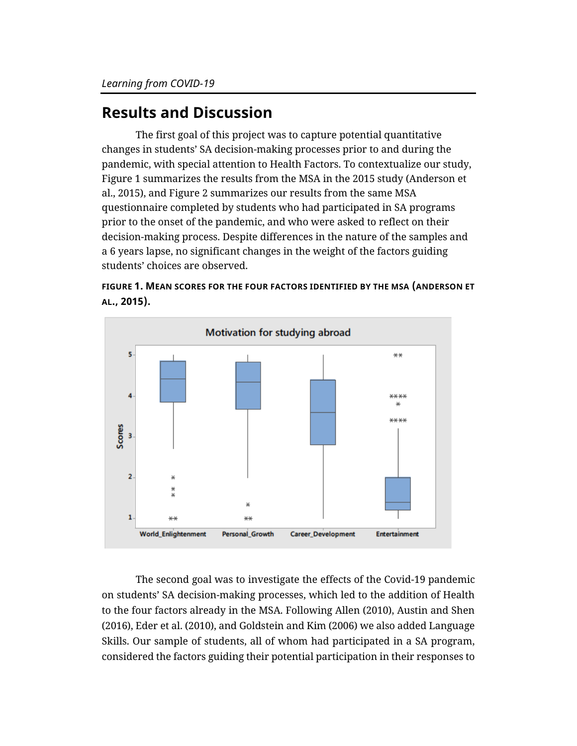# **Results and Discussion**

The first goal of this project was to capture potential quantitative changes in students' SA decision-making processes prior to and during the pandemic, with special attention to Health Factors. To contextualize our study, Figure 1 summarizes the results from the MSA in the 2015 study (Anderson et al., 2015), and Figure 2 summarizes our results from the same MSA questionnaire completed by students who had participated in SA programs prior to the onset of the pandemic, and who were asked to reflect on their decision-making process. Despite differences in the nature of the samples and a 6 years lapse, no significant changes in the weight of the factors guiding students' choices are observed.





The second goal was to investigate the effects of the Covid-19 pandemic on students' SA decision-making processes, which led to the addition of Health to the four factors already in the MSA. Following Allen (2010), Austin and Shen (2016), Eder et al. (2010), and Goldstein and Kim (2006) we also added Language Skills. Our sample of students, all of whom had participated in a SA program, considered the factors guiding their potential participation in their responses to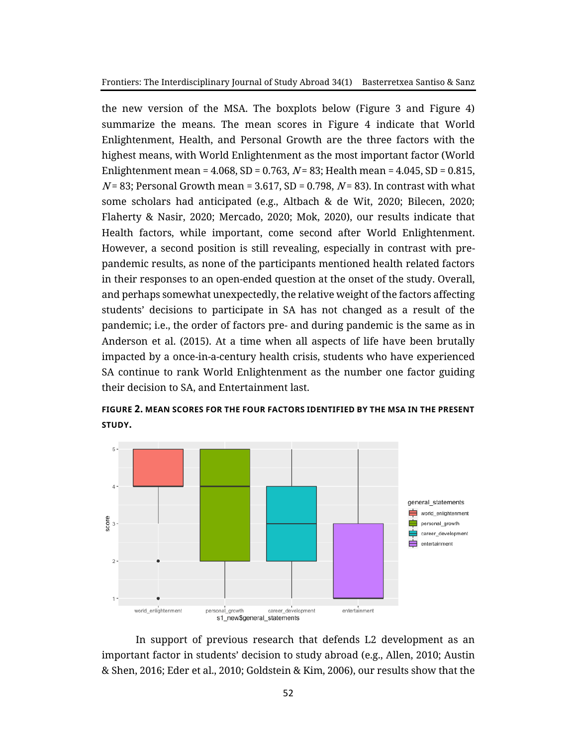the new version of the MSA. The boxplots below (Figure 3 and Figure 4) summarize the means. The mean scores in Figure 4 indicate that World Enlightenment, Health, and Personal Growth are the three factors with the highest means, with World Enlightenment as the most important factor (World Enlightenment mean =  $4.068$ , SD = 0.763, N = 83; Health mean =  $4.045$ , SD = 0.815,  $N = 83$ ; Personal Growth mean = 3.617, SD = 0.798,  $N = 83$ ). In contrast with what some scholars had anticipated (e.g., Altbach & de Wit, 2020; Bilecen, 2020; Flaherty & Nasir, 2020; Mercado, 2020; Mok, 2020), our results indicate that Health factors, while important, come second after World Enlightenment. However, a second position is still revealing, especially in contrast with prepandemic results, as none of the participants mentioned health related factors in their responses to an open-ended question at the onset of the study. Overall, and perhaps somewhat unexpectedly, the relative weight of the factors affecting students' decisions to participate in SA has not changed as a result of the pandemic; i.e., the order of factors pre- and during pandemic is the same as in Anderson et al. (2015). At a time when all aspects of life have been brutally impacted by a once-in-a-century health crisis, students who have experienced SA continue to rank World Enlightenment as the number one factor guiding their decision to SA, and Entertainment last.



**FIGURE 2. MEAN SCORES FOR THE FOUR FACTORS IDENTIFIED BY THE MSA IN THE PRESENT STUDY.**

In support of previous research that defends L2 development as an important factor in students' decision to study abroad (e.g., Allen, 2010; Austin & Shen, 2016; Eder et al., 2010; Goldstein & Kim, 2006), our results show that the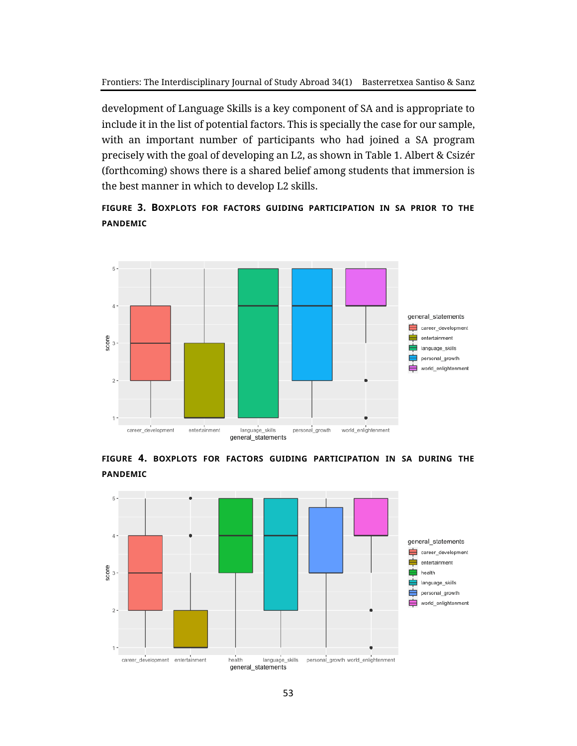development of Language Skills is a key component of SA and is appropriate to include it in the list of potential factors. This is specially the case for our sample, with an important number of participants who had joined a SA program precisely with the goal of developing an L2, as shown in Table 1. Albert & Csizér (forthcoming) shows there is a shared belief among students that immersion is the best manner in which to develop L2 skills.

**FIGURE 3. BOXPLOTS FOR FACTORS GUIDING PARTICIPATION IN SA PRIOR TO THE PANDEMIC**



**FIGURE 4. BOXPLOTS FOR FACTORS GUIDING PARTICIPATION IN SA DURING THE PANDEMIC**

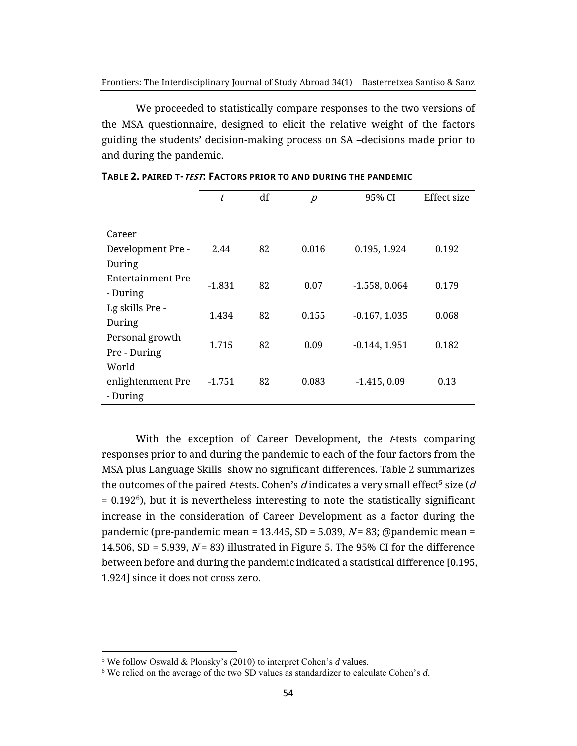We proceeded to statistically compare responses to the two versions of the MSA questionnaire, designed to elicit the relative weight of the factors guiding the students' decision-making process on SA –decisions made prior to and during the pandemic.

|                   | t        | df | $\overline{p}$ | 95% CI          | Effect size |  |
|-------------------|----------|----|----------------|-----------------|-------------|--|
|                   |          |    |                |                 |             |  |
| Career            |          |    |                |                 |             |  |
| Development Pre - | 2.44     | 82 | 0.016          | 0.195, 1.924    | 0.192       |  |
| During            |          |    |                |                 |             |  |
| Entertainment Pre | $-1.831$ | 82 | 0.07           | $-1.558, 0.064$ | 0.179       |  |
| - During          |          |    |                |                 |             |  |
| Lg skills Pre -   |          | 82 |                |                 | 0.068       |  |
| During            | 1.434    |    | 0.155          | $-0.167, 1.035$ |             |  |
| Personal growth   |          |    |                |                 | 0.182       |  |
| Pre - During      | 1.715    | 82 | 0.09           | $-0.144, 1.951$ |             |  |
| World             |          |    |                |                 |             |  |
| enlightenment Pre | $-1.751$ | 82 | 0.083          | $-1.415, 0.09$  | 0.13        |  |
| - During          |          |    |                |                 |             |  |

| TABLE 2. PAIRED T- <i>TEST</i> : FACTORS PRIOR TO AND DURING THE PANDEMIC |  |
|---------------------------------------------------------------------------|--|
|---------------------------------------------------------------------------|--|

With the exception of Career Development, the  $t$ -tests comparing responses prior to and during the pandemic to each of the four factors from the MSA plus Language Skills show no significant differences. Table 2 summarizes the outcomes of the paired *t*-tests. Cohen's  $d$  indicates a very small effect $^5$  size ( $d$  $= 0.192^6$ ), but it is nevertheless interesting to note the statistically significant increase in the consideration of Career Development as a factor during the pandemic (pre-pandemic mean = 13.445, SD = 5.039,  $N$  = 83; @pandemic mean = 14.506, SD = 5.939,  $N = 83$ ) illustrated in Figure 5. The 95% CI for the difference between before and during the pandemic indicated a statistical difference [0.195, 1.924] since it does not cross zero.

<sup>5</sup> We follow Oswald & Plonsky's (2010) to interpret Cohen's *d* values.

<sup>6</sup> We relied on the average of the two SD values as standardizer to calculate Cohen's *d*.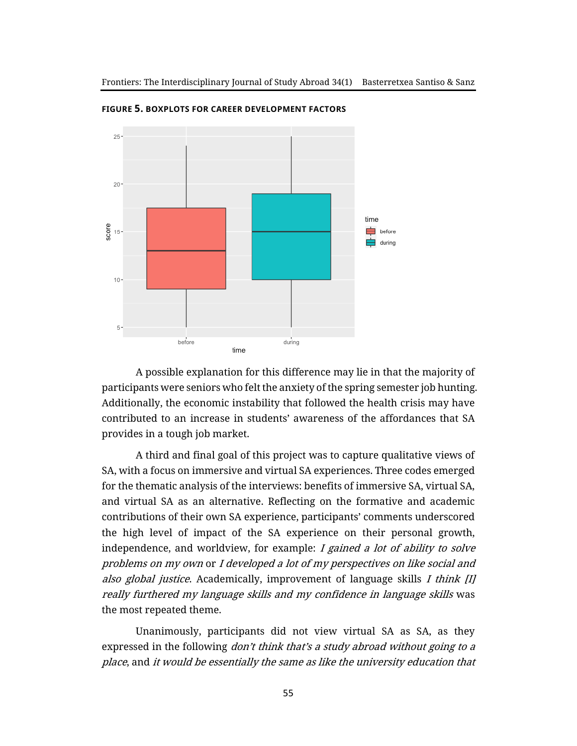

**FIGURE 5. BOXPLOTS FOR CAREER DEVELOPMENT FACTORS**

A possible explanation for this difference may lie in that the majority of participants were seniors who felt the anxiety of the spring semester job hunting. Additionally, the economic instability that followed the health crisis may have contributed to an increase in students' awareness of the affordances that SA provides in a tough job market.

A third and final goal of this project was to capture qualitative views of SA, with a focus on immersive and virtual SA experiences. Three codes emerged for the thematic analysis of the interviews: benefits of immersive SA, virtual SA, and virtual SA as an alternative. Reflecting on the formative and academic contributions of their own SA experience, participants' comments underscored the high level of impact of the SA experience on their personal growth, independence, and worldview, for example:  $I$  gained a lot of ability to solve problems on my own or I developed a lot of my perspectives on like social and also global justice. Academically, improvement of language skills  $I$  think  $[I]$ really furthered my language skills and my confidence in language skills was the most repeated theme.

Unanimously, participants did not view virtual SA as SA, as they expressed in the following *don't think that's a study abroad without going to a* place, and it would be essentially the same as like the university education that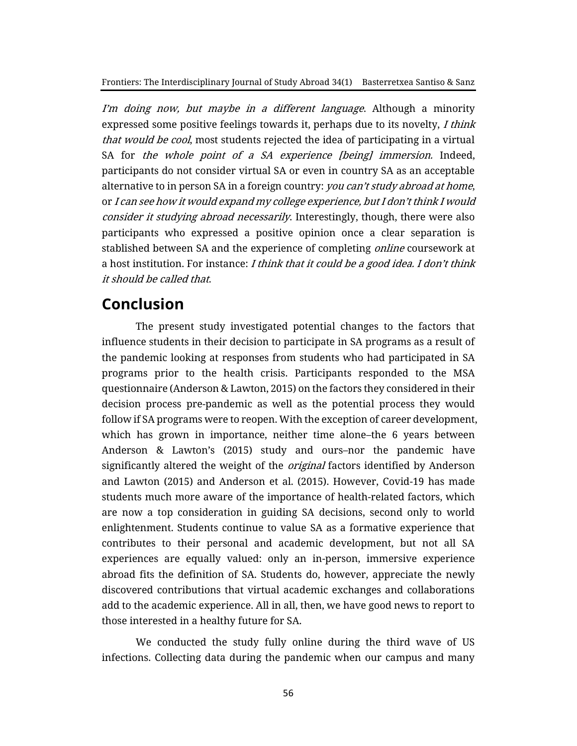I'm doing now, but maybe in a different language. Although a minority expressed some positive feelings towards it, perhaps due to its novelty, I think that would be cool, most students rejected the idea of participating in a virtual SA for the whole point of a SA experience [being] immersion. Indeed, participants do not consider virtual SA or even in country SA as an acceptable alternative to in person SA in a foreign country: you can't study abroad at home, or I can see how it would expand my college experience, but I don't think I would consider it studying abroad necessarily. Interestingly, though, there were also participants who expressed a positive opinion once a clear separation is stablished between SA and the experience of completing *online* coursework at a host institution. For instance: I think that it could be a good idea. I don't think it should be called that.

### **Conclusion**

The present study investigated potential changes to the factors that influence students in their decision to participate in SA programs as a result of the pandemic looking at responses from students who had participated in SA programs prior to the health crisis. Participants responded to the MSA questionnaire (Anderson & Lawton, 2015) on the factors they considered in their decision process pre-pandemic as well as the potential process they would follow if SA programs were to reopen. With the exception of career development, which has grown in importance, neither time alone–the 6 years between Anderson & Lawton's (2015) study and ours–nor the pandemic have significantly altered the weight of the *original* factors identified by Anderson and Lawton (2015) and Anderson et al. (2015). However, Covid-19 has made students much more aware of the importance of health-related factors, which are now a top consideration in guiding SA decisions, second only to world enlightenment. Students continue to value SA as a formative experience that contributes to their personal and academic development, but not all SA experiences are equally valued: only an in-person, immersive experience abroad fits the definition of SA. Students do, however, appreciate the newly discovered contributions that virtual academic exchanges and collaborations add to the academic experience. All in all, then, we have good news to report to those interested in a healthy future for SA.

We conducted the study fully online during the third wave of US infections. Collecting data during the pandemic when our campus and many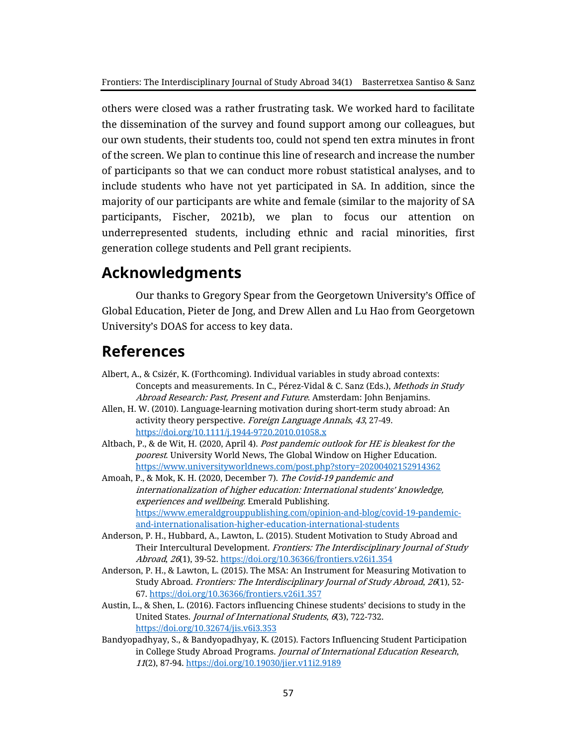others were closed was a rather frustrating task. We worked hard to facilitate the dissemination of the survey and found support among our colleagues, but our own students, their students too, could not spend ten extra minutes in front of the screen. We plan to continue this line of research and increase the number of participants so that we can conduct more robust statistical analyses, and to include students who have not yet participated in SA. In addition, since the majority of our participants are white and female (similar to the majority of SA participants, Fischer, 2021b), we plan to focus our attention on underrepresented students, including ethnic and racial minorities, first generation college students and Pell grant recipients.

### **Acknowledgments**

Our thanks to Gregory Spear from the Georgetown University's Office of Global Education, Pieter de Jong, and Drew Allen and Lu Hao from Georgetown University's DOAS for access to key data.

### **References**

- Albert, A., & Csizér, K. (Forthcoming). Individual variables in study abroad contexts: Concepts and measurements. In C., Pérez-Vidal & C. Sanz (Eds.), Methods in Study Abroad Research: Past, Present and Future. Amsterdam: John Benjamins.
- Allen, H. W. (2010). Language-learning motivation during short-term study abroad: An activity theory perspective. Foreign Language Annals, 43, 27-49. <https://doi.org/10.1111/j.1944-9720.2010.01058.x>
- Altbach, P., & de Wit, H. (2020, April 4). Post pandemic outlook for HE is bleakest for the poorest. University World News, The Global Window on Higher Education. <https://www.universityworldnews.com/post.php?story=20200402152914362>
- Amoah, P., & Mok, K. H. (2020, December 7). The Covid-19 pandemic and internationalization of higher education: International students' knowledge, experiences and wellbeing. Emerald Publishing. [https://www.emeraldgrouppublishing.com/opinion-and-blog/covid-19-pandemic](https://www.emeraldgrouppublishing.com/opinion-and-blog/covid-19-pandemic-and-internationalisation-higher-education-international-students)[and-internationalisation-higher-education-international-students](https://www.emeraldgrouppublishing.com/opinion-and-blog/covid-19-pandemic-and-internationalisation-higher-education-international-students)
- Anderson, P. H., Hubbard, A., Lawton, L. (2015). Student Motivation to Study Abroad and Their Intercultural Development. Frontiers: The Interdisciplinary Journal of Study Abroad, 26(1), 39-52.<https://doi.org/10.36366/frontiers.v26i1.354>
- Anderson, P. H., & Lawton, L. (2015). The MSA: An Instrument for Measuring Motivation to Study Abroad. Frontiers: The Interdisciplinary Journal of Study Abroad, 26(1), 52- 67[. https://doi.org/10.36366/frontiers.v26i1.357](https://doi.org/10.36366/frontiers.v26i1.357)
- Austin, L., & Shen, L. (2016). Factors influencing Chinese students' decisions to study in the United States. Journal of International Students, 6(3), 722-732. <https://doi.org/10.32674/jis.v6i3.353>
- Bandyopadhyay, S., & Bandyopadhyay, K. (2015). Factors Influencing Student Participation in College Study Abroad Programs. Journal of International Education Research, 11(2), 87-94[. https://doi.org/10.19030/jier.v11i2.9189](https://doi.org/10.19030/jier.v11i2.9189)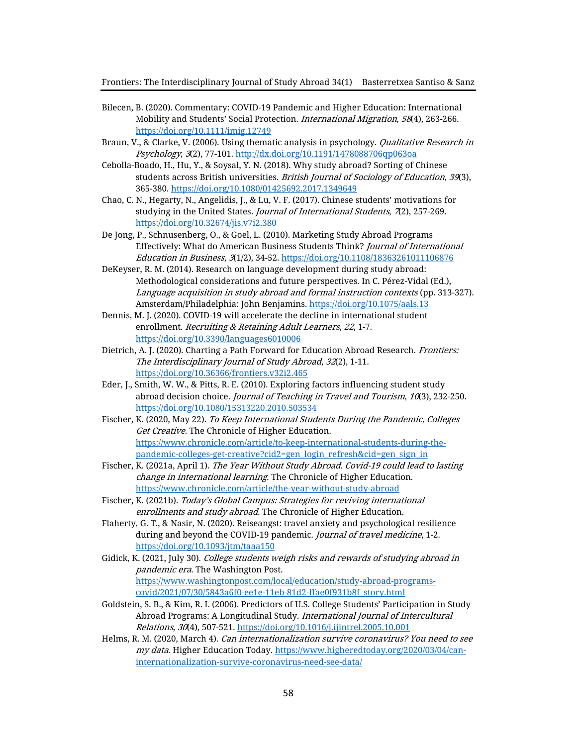- Bilecen, B. (2020). Commentary: COVID-19 Pandemic and Higher Education: International Mobility and Students' Social Protection. International Migration, 58(4), 263-266. <https://doi.org/10.1111/imig.12749>
- Braun, V., & Clarke, V. (2006). Using thematic analysis in psychology. *Qualitative Research in* Psychology, 3(2), 77-101.<http://dx.doi.org/10.1191/1478088706qp063oa>
- Cebolla-Boado, H., Hu, Y., & Soysal, Y. N. (2018). Why study abroad? Sorting of Chinese students across British universities. British Journal of Sociology of Education, 39(3), 365-380[. https://doi.org/10.1080/01425692.2017.1349649](https://doi.org/10.1080/01425692.2017.1349649)
- Chao, C. N., Hegarty, N., Angelidis, J., & Lu, V. F. (2017). Chinese students' motivations for studying in the United States. Journal of International Students, 7(2), 257-269. <https://doi.org/10.32674/jis.v7i2.380>
- De Jong, P., Schnusenberg, O., & Goel, L. (2010). Marketing Study Abroad Programs Effectively: What do American Business Students Think? Journal of International Education in Business, 3(1/2), 34-52[. https://doi.org/10.1108/18363261011106876](https://doi.org/10.1108/18363261011106876)
- DeKeyser, R. M. (2014). Research on language development during study abroad: Methodological considerations and future perspectives. In C. Pérez-Vidal (Ed.), Language acquisition in study abroad and formal instruction contexts (pp. 313-327). Amsterdam/Philadelphia: John Benjamins.<https://doi.org/10.1075/aals.13>
- Dennis, M. J. (2020). COVID-19 will accelerate the decline in international student enrollment. Recruiting & Retaining Adult Learners, 22, 1-7. <https://doi.org/10.3390/languages6010006>
- Dietrich, A. J. (2020). Charting a Path Forward for Education Abroad Research. Frontiers: The Interdisciplinary Journal of Study Abroad, 32(2), 1-11. <https://doi.org/10.36366/frontiers.v32i2.465>
- Eder, J., Smith, W. W., & Pitts, R. E. (2010). Exploring factors influencing student study abroad decision choice. Journal of Teaching in Travel and Tourism, 10(3), 232-250. <https://doi.org/10.1080/15313220.2010.503534>
- Fischer, K. (2020, May 22). To Keep International Students During the Pandemic, Colleges Get Creative. The Chronicle of Higher Education. [https://www.chronicle.com/article/to-keep-international-students-during-the](https://www.chronicle.com/article/to-keep-international-students-during-the-pandemic-colleges-get-creative?cid2=gen_login_refresh&cid=gen_sign_in)[pandemic-colleges-get-creative?cid2=gen\\_login\\_refresh&cid=gen\\_sign\\_in](https://www.chronicle.com/article/to-keep-international-students-during-the-pandemic-colleges-get-creative?cid2=gen_login_refresh&cid=gen_sign_in)
- Fischer, K. (2021a, April 1). The Year Without Study Abroad. Covid-19 could lead to lasting change in international learning. The Chronicle of Higher Education. <https://www.chronicle.com/article/the-year-without-study-abroad>
- Fischer, K. (2021b). Today's Global Campus: Strategies for reviving international enrollments and study abroad. The Chronicle of Higher Education.
- Flaherty, G. T., & Nasir, N. (2020). Reiseangst: travel anxiety and psychological resilience during and beyond the COVID-19 pandemic. Journal of travel medicine, 1-2. <https://doi.org/10.1093/jtm/taaa150>
- Gidick, K. (2021, July 30). College students weigh risks and rewards of studying abroad in pandemic era. The Washington Post. [https://www.washingtonpost.com/local/education/study-abroad-programs](https://www.washingtonpost.com/local/education/study-abroad-programs-covid/2021/07/30/5843a6f0-ee1e-11eb-81d2-ffae0f931b8f_story.html)[covid/2021/07/30/5843a6f0-ee1e-11eb-81d2-ffae0f931b8f\\_story.html](https://www.washingtonpost.com/local/education/study-abroad-programs-covid/2021/07/30/5843a6f0-ee1e-11eb-81d2-ffae0f931b8f_story.html)
- Goldstein, S. B., & Kim, R. I. (2006). Predictors of U.S. College Students' Participation in Study Abroad Programs: A Longitudinal Study. International Journal of Intercultural Relations, 30(4), 507-521.<https://doi.org/10.1016/j.ijintrel.2005.10.001>
- Helms, R. M. (2020, March 4). Can internationalization survive coronavirus? You need to see my data. Higher Education Today. [https://www.higheredtoday.org/2020/03/04/can](https://www.higheredtoday.org/2020/03/04/can-internationalization-survive-coronavirus-need-see-data/)[internationalization-survive-coronavirus-need-see-data/](https://www.higheredtoday.org/2020/03/04/can-internationalization-survive-coronavirus-need-see-data/)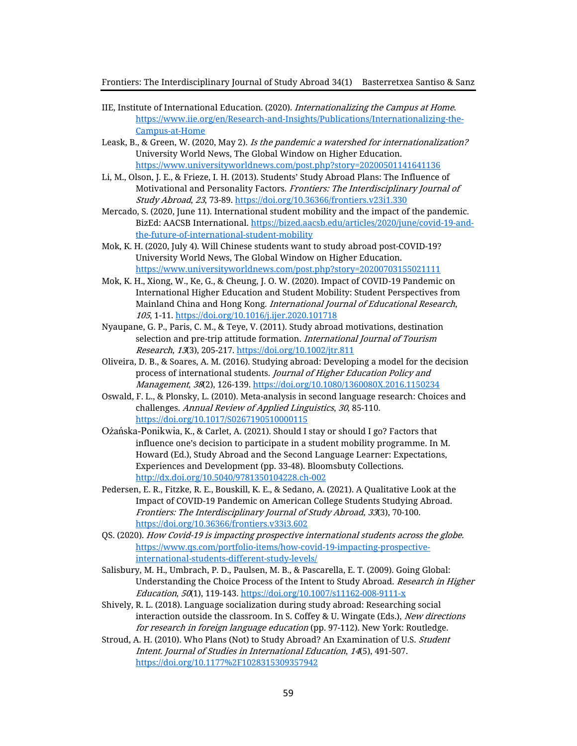- IIE, Institute of International Education. (2020). Internationalizing the Campus at Home. [https://www.iie.org/en/Research-and-Insights/Publications/Internationalizing-the-](https://www.iie.org/en/Research-and-Insights/Publications/Internationalizing-the-Campus-at-Home)[Campus-at-Home](https://www.iie.org/en/Research-and-Insights/Publications/Internationalizing-the-Campus-at-Home)
- Leask, B., & Green, W. (2020, May 2). Is the pandemic a watershed for internationalization? University World News, The Global Window on Higher Education. <https://www.universityworldnews.com/post.php?story=20200501141641136>
- Li, M., Olson, J. E., & Frieze, I. H. (2013). Students' Study Abroad Plans: The Influence of Motivational and Personality Factors. Frontiers: The Interdisciplinary Journal of Study Abroad, 23, 73-89[. https://doi.org/10.36366/frontiers.v23i1.330](https://doi.org/10.36366/frontiers.v23i1.330)
- Mercado, S. (2020, June 11). International student mobility and the impact of the pandemic. BizEd: AACSB International. [https://bized.aacsb.edu/articles/2020/june/covid-19-and](https://bized.aacsb.edu/articles/2020/june/covid-19-and-the-future-of-international-student-mobility)[the-future-of-international-student-mobility](https://bized.aacsb.edu/articles/2020/june/covid-19-and-the-future-of-international-student-mobility)
- Mok, K. H. (2020, July 4). Will Chinese students want to study abroad post-COVID-19? University World News, The Global Window on Higher Education. <https://www.universityworldnews.com/post.php?story=20200703155021111>
- Mok, K. H., Xiong, W., Ke, G., & Cheung, J. O. W. (2020). Impact of COVID-19 Pandemic on International Higher Education and Student Mobility: Student Perspectives from Mainland China and Hong Kong. International Journal of Educational Research, 105, 1-11.<https://doi.org/10.1016/j.ijer.2020.101718>
- Nyaupane, G. P., Paris, C. M., & Teye, V. (2011). Study abroad motivations, destination selection and pre-trip attitude formation. International Journal of Tourism Research, 13(3), 205-217.<https://doi.org/10.1002/jtr.811>
- Oliveira, D. B., & Soares, A. M. (2016). Studying abroad: Developing a model for the decision process of international students. Journal of Higher Education Policy and Management, 38(2), 126-139[. https://doi.org/10.1080/1360080X.2016.1150234](https://doi.org/10.1080/1360080X.2016.1150234)
- Oswald, F. L., & Plonsky, L. (2010). Meta-analysis in second language research: Choices and challenges. Annual Review of Applied Linguistics, 30, 85-110. <https://doi.org/10.1017/S0267190510000115>
- Ożańska-Ponikwia, K., & Carlet, A. (2021). Should I stay or should I go? Factors that influence one's decision to participate in a student mobility programme. In M. Howard (Ed.), Study Abroad and the Second Language Learner: Expectations, Experiences and Development (pp. 33-48). Bloomsbuty Collections. <http://dx.doi.org/10.5040/9781350104228.ch-002>
- Pedersen, E. R., Fitzke, R. E., Bouskill, K. E., & Sedano, A. (2021). A Qualitative Look at the Impact of COVID-19 Pandemic on American College Students Studying Abroad. Frontiers: The Interdisciplinary Journal of Study Abroad, 33(3), 70-100. <https://doi.org/10.36366/frontiers.v33i3.602>
- QS. (2020). How Covid-19 is impacting prospective international students across the globe. [https://www.qs.com/portfolio-items/how-covid-19-impacting-prospective](https://www.qs.com/portfolio-items/how-covid-19-impacting-prospective-international-students-different-study-levels/)[international-students-different-study-levels/](https://www.qs.com/portfolio-items/how-covid-19-impacting-prospective-international-students-different-study-levels/)
- Salisbury, M. H., Umbrach, P. D., Paulsen, M. B., & Pascarella, E. T. (2009). Going Global: Understanding the Choice Process of the Intent to Study Abroad. *Research in Higher* Education, 50(1), 119-143[. https://doi.org/10.1007/s11162-008-9111-x](https://doi.org/10.1007/s11162-008-9111-x)
- Shively, R. L. (2018). Language socialization during study abroad: Researching social interaction outside the classroom. In S. Coffey & U. Wingate (Eds.), New directions for research in foreign language education (pp. 97-112). New York: Routledge.
- Stroud, A. H. (2010). Who Plans (Not) to Study Abroad? An Examination of U.S. Student Intent. Journal of Studies in International Education, 14(5), 491-507. <https://doi.org/10.1177%2F1028315309357942>